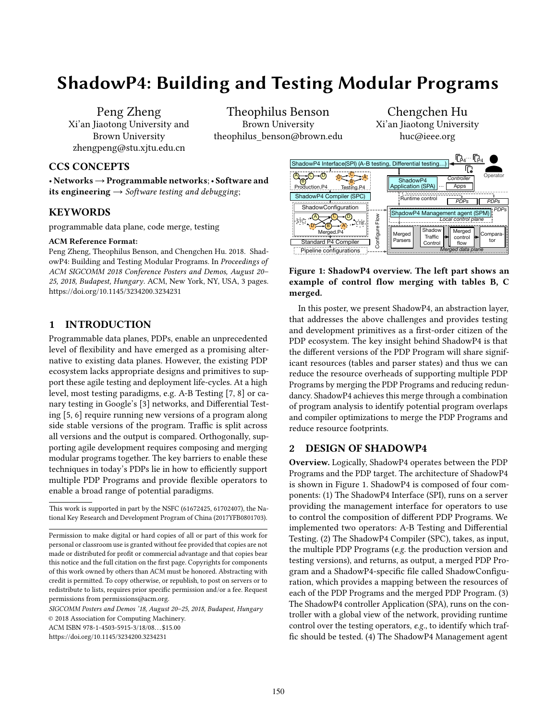# ShadowP4: Building and Testing Modular Programs

Peng Zheng Xi'an Jiaotong University and Brown University zhengpeng@stu.xjtu.edu.cn

Theophilus Benson Brown University theophilus benson@brown.edu

Chengchen Hu Xi'an Jiaotong University huc@ieee.org

## CCS CONCEPTS

• Networks→Programmable networks;• Software and its engineering  $\rightarrow$  Software testing and debugging;

## KEYWORDS

programmable data plane, code merge, testing

#### ACM Reference Format:

Peng Zheng, Theophilus Benson, and Chengchen Hu. 2018. ShadowP4: Building and Testing Modular Programs. In Proceedings of ACM SIGCOMM 2018 Conference Posters and Demos, August 20– 25, 2018, Budapest, Hungary. ACM, New York, NY, USA, [3](#page-2-0) pages. <https://doi.org/10.1145/3234200.3234231>

## 1 INTRODUCTION

Programmable data planes, PDPs, enable an unprecedented level of flexibility and have emerged as a promising alternative to existing data planes. However, the existing PDP ecosystem lacks appropriate designs and primitives to support these agile testing and deployment life-cycles. At a high level, most testing paradigms, e.g. A-B Testing [\[7,](#page-2-1) [8\]](#page-2-2) or canary testing in Google's [\[3\]](#page-2-3) networks, and Differential Testing [\[5,](#page-2-4) [6\]](#page-2-5) require running new versions of a program along side stable versions of the program. Traffic is split across all versions and the output is compared. Orthogonally, supporting agile development requires composing and merging modular programs together. The key barriers to enable these techniques in today's PDPs lie in how to efficiently support multiple PDP Programs and provide flexible operators to enable a broad range of potential paradigms. **EXERYWORDS**<br> **EXERYWORDS**<br> **EXERYWORDS**<br> **EXERYWORDS**<br> **EXERYWORDS**<br> **EXERYWORDS**<br> **EXERYWORDS**<br> **EXERYWORDS**<br> **EXERYMORES**<br> **EXERYMORES**<br> **EXERYMORES**<br> **EXERYMORES**<br> **EVERY CRIME MORENT INTERFORMET INTERFORMET INTERFORM** 

SIGCOMM Posters and Demos '18, August 20–25, 2018, Budapest, Hungary

© 2018 Association for Computing Machinery.

<span id="page-0-0"></span>

## Figure 1: ShadowP4 overview. The left part shows an example of control flow merging with tables B, C merged.

In this poster, we present ShadowP4, an abstraction layer, that addresses the above challenges and provides testing and development primitives as a first-order citizen of the PDP ecosystem. The key insight behind ShadowP4 is that the different versions of the PDP Program will share significant resources (tables and parser states) and thus we can reduce the resource overheads of supporting multiple PDP Programs by merging the PDP Programs and reducing redundancy. ShadowP4 achieves this merge through a combination of program analysis to identify potential program overlaps and compiler optimizations to merge the PDP Programs and reduce resource footprints.

## 2 DESIGN OF SHADOWP4

Overview. Logically, ShadowP4 operates between the PDP Programs and the PDP target. The architecture of ShadowP4 is shown in Figure [1.](#page-0-0) ShadowP4 is composed of four components: (1) The ShadowP4 Interface (SPI), runs on a server providing the management interface for operators to use to control the composition of different PDP Programs. We implemented two operators: A-B Testing and Differential Testing. (2) The ShadowP4 Compiler (SPC), takes, as input, the multiple PDP Programs (e.g. the production version and testing versions), and returns, as output, a merged PDP Program and a ShadowP4-specific file called ShadowConfiguration, which provides a mapping between the resources of each of the PDP Programs and the merged PDP Program. (3) The ShadowP4 controller Application (SPA), runs on the controller with a global view of the network, providing runtime control over the testing operators, e.g., to identify which traffic should be tested. (4) The ShadowP4 Management agent

This work is supported in part by the NSFC (61672425, 61702407), the National Key Research and Development Program of China (2017YFB0801703).

Permission to make digital or hard copies of all or part of this work for personal or classroom use is granted without fee provided that copies are not made or distributed for profit or commercial advantage and that copies bear this notice and the full citation on the first page. Copyrights for components of this work owned by others than ACM must be honored. Abstracting with credit is permitted. To copy otherwise, or republish, to post on servers or to redistribute to lists, requires prior specific permission and/or a fee. Request permissions from permissions@acm.org.

ACM ISBN 978-1-4503-5915-3/18/08...\$15.00<br>https://doi.org/10.1145/3234200.3234231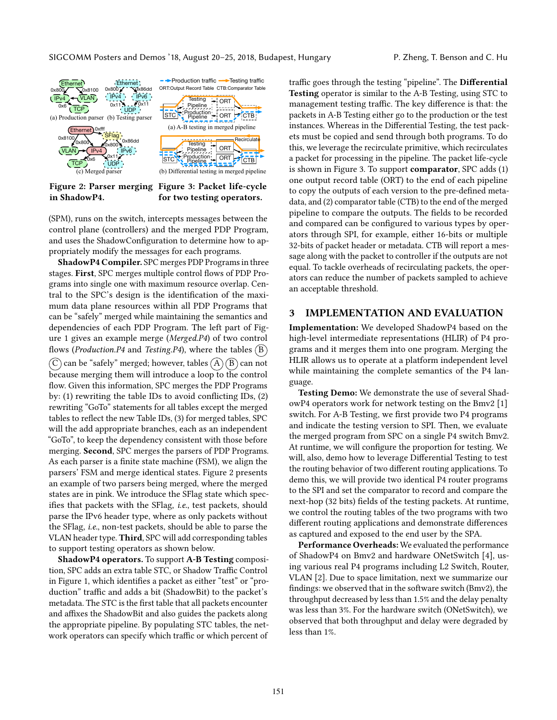SIGCOMM Posters and Demos '18, August 20–25, 2018, Budapest, Hungary P. Zheng, T. Benson and C. Hu

<span id="page-1-0"></span>

Figure 2: Parser merging Figure 3: Packet life-cycle in ShadowP4. for two testing operators.

(SPM), runs on the switch, intercepts messages between the control plane (controllers) and the merged PDP Program, and uses the ShadowConfiguration to determine how to appropriately modify the messages for each programs.

ShadowP4 Compiler. SPC merges PDP Programs in three stages. First, SPC merges multiple control flows of PDP Programs into single one with maximum resource overlap. Central to the SPC's design is the identification of the maximum data plane resources within all PDP Programs that can be "safely" merged while maintaining the semantics and dependencies of each PDP Program. The left part of Figure [1](#page-0-0) gives an example merge (Merged.P4) of two control flows (*Production.P4* and *Testing.P4*), where the tables  $(B)$  $(C)$  can be "safely" merged; however, tables  $(A)(B)$  can not because merging them will introduce a loop to the control flow. Given this information, SPC merges the PDP Programs by: (1) rewriting the table IDs to avoid conflicting IDs, (2) rewriting "GoTo" statements for all tables except the merged tables to reflect the new Table IDs, (3) for merged tables, SPC will the add appropriate branches, each as an independent "GoTo", to keep the dependency consistent with those before merging. Second, SPC merges the parsers of PDP Programs. As each parser is a finite state machine (FSM), we align the parsers' FSM and merge identical states. Figure [2](#page-1-0) presents an example of two parsers being merged, where the merged states are in pink. We introduce the SFlag state which specifies that packets with the SFlag, i.e., test packets, should parse the IPv6 header type, where as only packets without the SFlag, i.e., non-test packets, should be able to parse the VLAN header type. Third, SPC will add corresponding tables to support testing operators as shown below.

ShadowP4 operators. To support A-B Testing composition, SPC adds an extra table STC, or Shadow Traffic Control in Figure [1,](#page-0-0) which identifies a packet as either "test" or "production" traffic and adds a bit (ShadowBit) to the packet's metadata. The STC is the first table that all packets encounter and affixes the ShadowBit and also guides the packets along the appropriate pipeline. By populating STC tables, the network operators can specify which traffic or which percent of

traffic goes through the testing "pipeline". The Differential Testing operator is similar to the A-B Testing, using STC to management testing traffic. The key difference is that: the packets in A-B Testing either go to the production or the test instances. Whereas in the Differential Testing, the test packets must be copied and send through both programs. To do this, we leverage the recirculate primitive, which recirculates a packet for processing in the pipeline. The packet life-cycle is shown in Figure [3.](#page-1-0) To support comparator, SPC adds (1) one output record table (ORT) to the end of each pipeline to copy the outputs of each version to the pre-defined metadata, and (2) comparator table (CTB) to the end of the merged pipeline to compare the outputs. The fields to be recorded and compared can be configured to various types by operators through SPI, for example, either 16-bits or multiple 32-bits of packet header or metadata. CTB will report a message along with the packet to controller if the outputs are not equal. To tackle overheads of recirculating packets, the operators can reduce the number of packets sampled to achieve an acceptable threshold.

### 3 IMPLEMENTATION AND EVALUATION

Implementation: We developed ShadowP4 based on the high-level intermediate representations (HLIR) of P4 programs and it merges them into one program. Merging the HLIR allows us to operate at a platform independent level while maintaining the complete semantics of the P4 language.

Testing Demo: We demonstrate the use of several ShadowP4 operators work for network testing on the Bmv2 [\[1\]](#page-2-6) switch. For A-B Testing, we first provide two P4 programs and indicate the testing version to SPI. Then, we evaluate the merged program from SPC on a single P4 switch Bmv2. At runtime, we will configure the proportion for testing. We will, also, demo how to leverage Differential Testing to test the routing behavior of two different routing applications. To demo this, we will provide two identical P4 router programs to the SPI and set the comparator to record and compare the next-hop (32 bits) fields of the testing packets. At runtime, we control the routing tables of the two programs with two different routing applications and demonstrate differences as captured and exposed to the end user by the SPA.

Performance Overheads: We evaluated the performance of ShadowP4 on Bmv2 and hardware ONetSwitch [\[4\]](#page-2-7), using various real P4 programs including L2 Switch, Router, VLAN [\[2\]](#page-2-8). Due to space limitation, next we summarize our findings: we observed that in the software switch (Bmv2), the throughput decreased by less than 1.5% and the delay penalty was less than 3%. For the hardware switch (ONetSwitch), we observed that both throughput and delay were degraded by less than 1%.